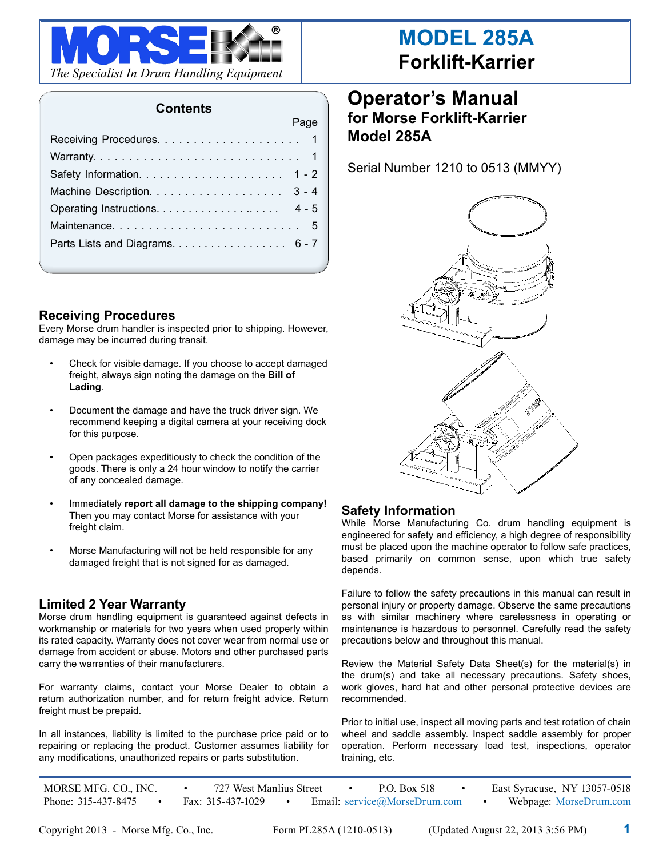

#### **Contents**

Page

### **Receiving Procedures**

Every Morse drum handler is inspected prior to shipping. However, damage may be incurred during transit.

- Check for visible damage. If you choose to accept damaged freight, always sign noting the damage on the **Bill of Lading**.
- Document the damage and have the truck driver sign. We recommend keeping a digital camera at your receiving dock for this purpose.
- Open packages expeditiously to check the condition of the goods. There is only a 24 hour window to notify the carrier of any concealed damage.
- Immediately **report all damage to the shipping company!** Then you may contact Morse for assistance with your freight claim.
- Morse Manufacturing will not be held responsible for any damaged freight that is not signed for as damaged.

#### **Limited 2 Year Warranty**

Morse drum handling equipment is guaranteed against defects in workmanship or materials for two years when used properly within its rated capacity. Warranty does not cover wear from normal use or damage from accident or abuse. Motors and other purchased parts carry the warranties of their manufacturers.

For warranty claims, contact your Morse Dealer to obtain a return authorization number, and for return freight advice. Return freight must be prepaid.

In all instances, liability is limited to the purchase price paid or to repairing or replacing the product. Customer assumes liability for any modifications, unauthorized repairs or parts substitution.

# **Operator's Manual for Morse Forklift-Karrier Model 285A**

Serial Number 1210 to 0513 (MMYY)



#### **Safety Information**

While Morse Manufacturing Co. drum handling equipment is engineered for safety and efficiency, a high degree of responsibility must be placed upon the machine operator to follow safe practices, based primarily on common sense, upon which true safety depends.

Failure to follow the safety precautions in this manual can result in personal injury or property damage. Observe the same precautions as with similar machinery where carelessness in operating or maintenance is hazardous to personnel. Carefully read the safety precautions below and throughout this manual.

Review the Material Safety Data Sheet(s) for the material(s) in the drum(s) and take all necessary precautions. Safety shoes, work gloves, hard hat and other personal protective devices are recommended.

Prior to initial use, inspect all moving parts and test rotation of chain wheel and saddle assembly. Inspect saddle assembly for proper operation. Perform necessary load test, inspections, operator training, etc.

MORSE MFG. CO., INC. • 727 West Manlius Street • P.O. Box 518 • East Syracuse, NY 13057-0518 Phone: 315-437-8475 • Fax: 315-437-1029 • Email: service@MorseDrum.com • Webpage: MorseDrum.com

Copyright 2013 - Morse Mfg. Co., Inc. Form PL285A (1210-0513) (Updated August 22, 2013 3:56 PM) **1**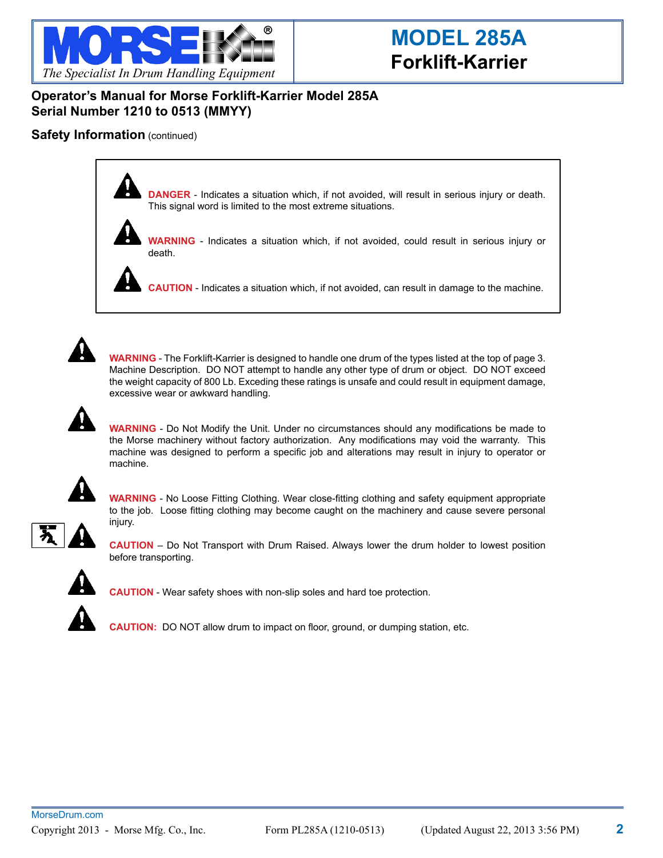

### **Operator's Manual for Morse Forklift-Karrier Model 285A Serial Number 1210 to 0513 (MMYY)**

#### **Safety Information** (continued)





**WARNING** - Indicates a situation which, if not avoided, could result in serious injury or death.

**CAUTION** - Indicates a situation which, if not avoided, can result in damage to the machine.



**WARNING** - The Forklift-Karrier is designed to handle one drum of the types listed at the top of page 3. Machine Description. DO NOT attempt to handle any other type of drum or object. DO NOT exceed the weight capacity of 800 Lb. Exceding these ratings is unsafe and could result in equipment damage, excessive wear or awkward handling.



**WARNING** - Do Not Modify the Unit. Under no circumstances should any modifications be made to the Morse machinery without factory authorization. Any modifications may void the warranty. This machine was designed to perform a specific job and alterations may result in injury to operator or machine.



**WARNING** - No Loose Fitting Clothing. Wear close-fitting clothing and safety equipment appropriate to the job. Loose fitting clothing may become caught on the machinery and cause severe personal injury.



**CAUTION** – Do Not Transport with Drum Raised. Always lower the drum holder to lowest position before transporting.



**CAUTION** - Wear safety shoes with non-slip soles and hard toe protection.

**CAUTION:** DO NOT allow drum to impact on floor, ground, or dumping station, etc.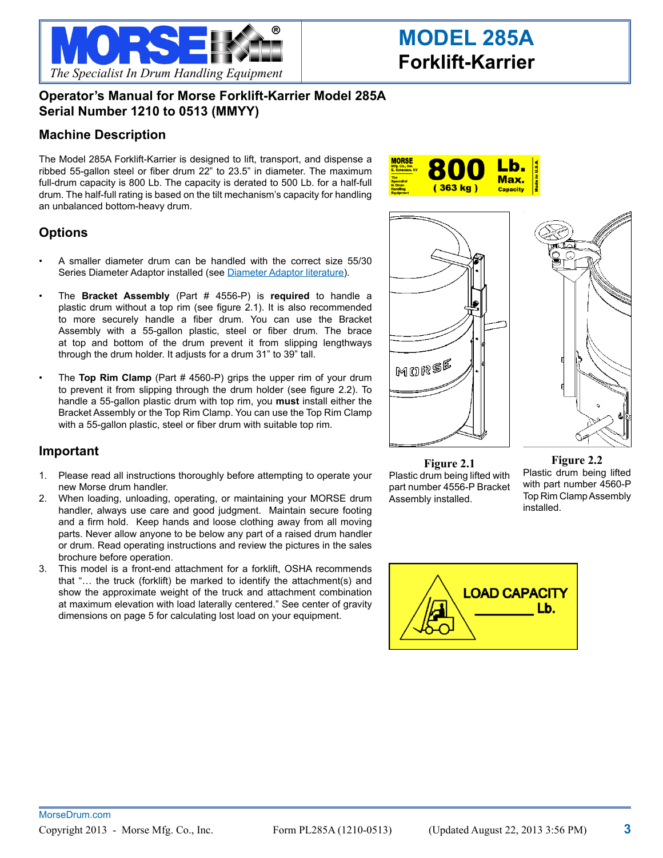

### **Operator's Manual for Morse Forklift-Karrier Model 285A Serial Number 1210 to 0513 (MMYY)**

#### **Machine Description**

The Model 285A Forklift-Karrier is designed to lift, transport, and dispense a ribbed 55-gallon steel or fiber drum 22" to 23.5" in diameter. The maximum full-drum capacity is 800 Lb. The capacity is derated to 500 Lb. for a half-full drum. The half-full rating is based on the tilt mechanism's capacity for handling an unbalanced bottom-heavy drum.



### **Options**

- A smaller diameter drum can be handled with the correct size 55/30 Series Diameter Adaptor installed (see [Diameter Adaptor literature\)](http://www.morsemfgco.com/lit/55-30-Saddle-Adaptors.pdf).
- The **Bracket Assembly** (Part # 4556-P) is required to handle a plastic drum without a top rim (see figure 2.1). It is also recommended to more securely handle a fiber drum. You can use the Bracket Assembly with a 55-gallon plastic, steel or fiber drum. The brace at top and bottom of the drum prevent it from slipping lengthways through the drum holder. It adjusts for a drum 31" to 39" tall.
- The **Top Rim Clamp** (Part # 4560-P) grips the upper rim of your drum to prevent it from slipping through the drum holder (see figure 2.2). To handle a 55-gallon plastic drum with top rim, you **must** install either the Bracket Assembly or the Top Rim Clamp. You can use the Top Rim Clamp with a 55-gallon plastic, steel or fiber drum with suitable top rim.

#### **Important**

- 1. Please read all instructions thoroughly before attempting to operate your new Morse drum handler.
- 2. When loading, unloading, operating, or maintaining your MORSE drum handler, always use care and good judgment. Maintain secure footing and a firm hold. Keep hands and loose clothing away from all moving parts. Never allow anyone to be below any part of a raised drum handler or drum. Read operating instructions and review the pictures in the sales brochure before operation.
- 3. This model is a front-end attachment for a forklift, OSHA recommends that "… the truck (forklift) be marked to identify the attachment(s) and show the approximate weight of the truck and attachment combination at maximum elevation with load laterally centered." See center of gravity dimensions on page 5 for calculating lost load on your equipment.



**Figure 2.1** Plastic drum being lifted with part number 4556-P Bracket Assembly installed.

**Figure 2.2** Plastic drum being lifted with part number 4560-P Top Rim Clamp Assembly installed.

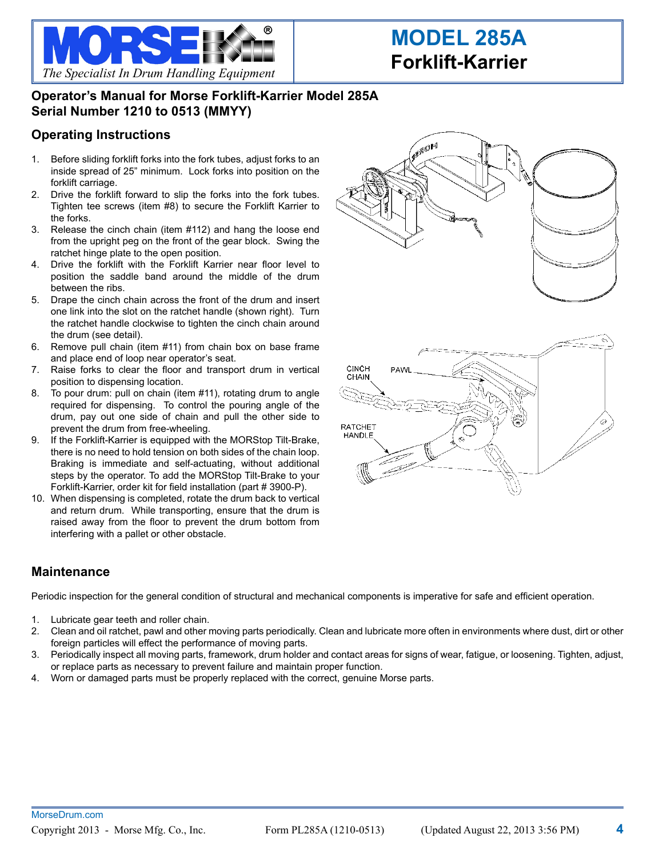

## **Operator's Manual for Morse Forklift-Karrier Model 285A Serial Number 1210 to 0513 (MMYY)**

#### **Operating Instructions**

- 1. Before sliding forklift forks into the fork tubes, adjust forks to an inside spread of 25" minimum. Lock forks into position on the forklift carriage.
- 2. Drive the forklift forward to slip the forks into the fork tubes. Tighten tee screws (item #8) to secure the Forklift Karrier to the forks.
- 3. Release the cinch chain (item #112) and hang the loose end from the upright peg on the front of the gear block. Swing the ratchet hinge plate to the open position.
- 4. Drive the forklift with the Forklift Karrier near floor level to position the saddle band around the middle of the drum between the ribs.
- 5. Drape the cinch chain across the front of the drum and insert one link into the slot on the ratchet handle (shown right). Turn the ratchet handle clockwise to tighten the cinch chain around the drum (see detail).
- 6. Remove pull chain (item #11) from chain box on base frame and place end of loop near operator's seat.
- 7. Raise forks to clear the floor and transport drum in vertical position to dispensing location.
- 8. To pour drum: pull on chain (item #11), rotating drum to angle required for dispensing. To control the pouring angle of the drum, pay out one side of chain and pull the other side to prevent the drum from free-wheeling.
- 9. If the Forklift-Karrier is equipped with the MORStop Tilt-Brake, there is no need to hold tension on both sides of the chain loop. Braking is immediate and self-actuating, without additional steps by the operator. To add the MORStop Tilt-Brake to your Forklift-Karrier, order kit for field installation (part # 3900-P).
- 10. When dispensing is completed, rotate the drum back to vertical and return drum. While transporting, ensure that the drum is raised away from the floor to prevent the drum bottom from interfering with a pallet or other obstacle.

#### **Maintenance**

Periodic inspection for the general condition of structural and mechanical components is imperative for safe and efficient operation.

- 1. Lubricate gear teeth and roller chain.
- 2. Clean and oil ratchet, pawl and other moving parts periodically. Clean and lubricate more often in environments where dust, dirt or other foreign particles will effect the performance of moving parts.
- 3. Periodically inspect all moving parts, framework, drum holder and contact areas for signs of wear, fatigue, or loosening. Tighten, adjust, or replace parts as necessary to prevent failure and maintain proper function.
- 4. Worn or damaged parts must be properly replaced with the correct, genuine Morse parts.



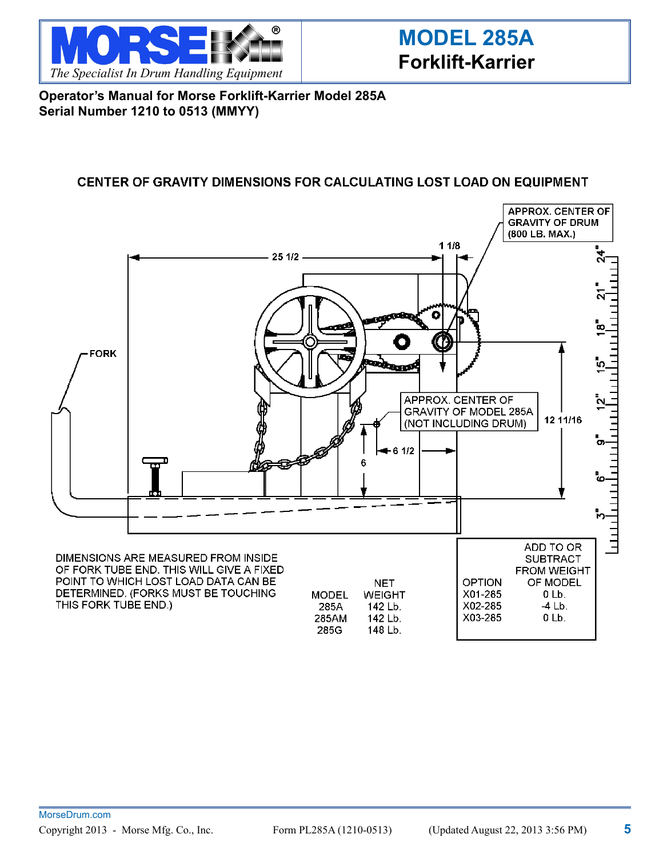

**Operator's Manual for Morse Forklift-Karrier Model 285A Serial Number 1210 to 0513 (MMYY)**

### **CENTER OF GRAVITY DIMENSIONS FOR CALCULATING LOST LOAD ON EQUIPMENT**

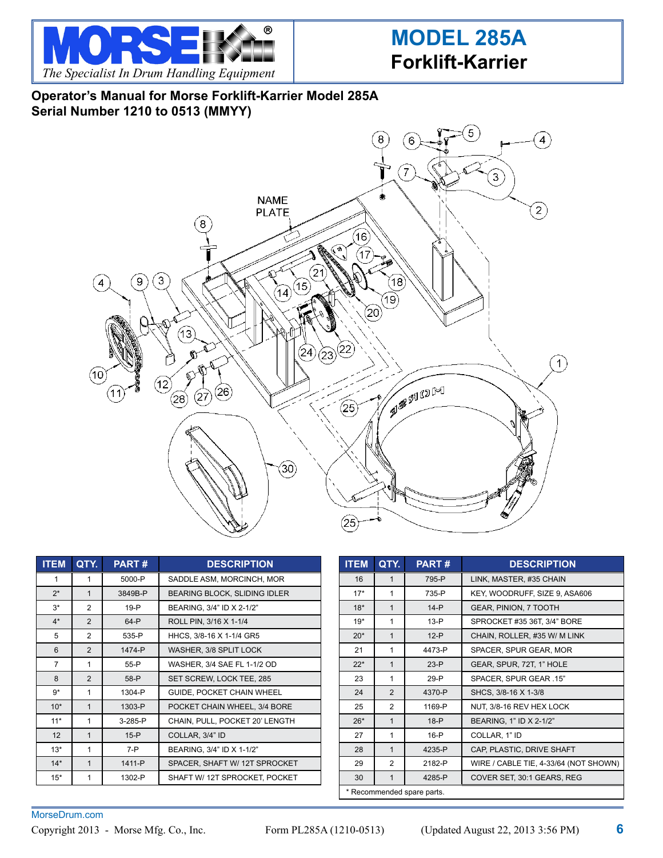

# **Operator's Manual for Morse Forklift-Karrier Model 285A Serial Number 1210 to 0513 (MMYY)**



| <b>ITEM</b>    | QTY.           | <b>PART#</b> | <b>DESCRIPTION</b>             |
|----------------|----------------|--------------|--------------------------------|
| 1              | 1              | 5000-P       | SADDLE ASM, MORCINCH, MOR      |
| $2^*$          | $\mathbf{1}$   | 3849B-P      | BEARING BLOCK, SLIDING IDLER   |
| $3*$           | $\overline{2}$ | $19-P$       | BEARING, 3/4" ID X 2-1/2"      |
| $4*$           | $\mathfrak{p}$ | 64-P         | ROLL PIN, 3/16 X 1-1/4         |
| 5              | $\overline{2}$ | 535-P        | HHCS, 3/8-16 X 1-1/4 GR5       |
| 6              | $\overline{2}$ | 1474-P       | WASHER, 3/8 SPLIT LOCK         |
| $\overline{7}$ | 1              | $55-P$       | WASHER, 3/4 SAE FL 1-1/2 OD    |
| 8              | $\overline{2}$ | 58-P         | SET SCREW, LOCK TEE, 285       |
| $9*$           | 1              | 1304-P       | GUIDE, POCKET CHAIN WHEEL      |
| $10*$          | 1              | 1303-P       | POCKET CHAIN WHEEL, 3/4 BORE   |
| $11*$          | 1              | 3-285-P      | CHAIN, PULL, POCKET 20' LENGTH |
| 12             | 1              | $15-P$       | COLLAR, 3/4" ID                |
| $13*$          | 1              | $7 - P$      | BEARING, 3/4" ID X 1-1/2"      |
| $14*$          | $\mathbf{1}$   | 1411-P       | SPACER, SHAFT W/ 12T SPROCKET  |
| $15*$          | 1              | 1302-P       | SHAFT W/ 12T SPROCKET, POCKET  |

| <b>ITEM</b>                | QTY.           | <b>PART#</b> | <b>DESCRIPTION</b>                    |
|----------------------------|----------------|--------------|---------------------------------------|
| 16                         | $\mathbf{1}$   | 795-P        | LINK, MASTER, #35 CHAIN               |
| $17*$                      | 1              | 735-P        | KEY, WOODRUFF, SIZE 9, ASA606         |
| $18*$                      | $\mathbf{1}$   | $14-P$       | GEAR, PINION, 7 TOOTH                 |
| $19*$                      | 1              | $13-P$       | SPROCKET #35 36T, 3/4" BORE           |
| $20*$                      | $\mathbf{1}$   | $12-P$       | CHAIN, ROLLER, #35 W/ M LINK          |
| 21                         | 1              | 4473-P       | SPACER, SPUR GEAR, MOR                |
| $22*$                      | $\mathbf 1$    | $23-P$       | GEAR, SPUR, 72T, 1" HOLE              |
| 23                         | 1              | $29-P$       | SPACER, SPUR GEAR .15"                |
| 24                         | $\overline{2}$ | 4370-P       | SHCS, 3/8-16 X 1-3/8                  |
| 25                         | $\overline{2}$ | 1169-P       | NUT, 3/8-16 REV HEX LOCK              |
| $26*$                      | $\mathbf{1}$   | $18-P$       | BEARING, 1" ID X 2-1/2"               |
| 27                         | 1              | $16-P$       | COLLAR, 1" ID                         |
| 28                         | $\mathbf{1}$   | 4235-P       | CAP, PLASTIC, DRIVE SHAFT             |
| 29                         | $\overline{2}$ | 2182-P       | WIRE / CABLE TIE, 4-33/64 (NOT SHOWN) |
| 30                         | $\mathbf{1}$   | 4285-P       | COVER SET, 30:1 GEARS, REG            |
| * Recommended spare parts. |                |              |                                       |